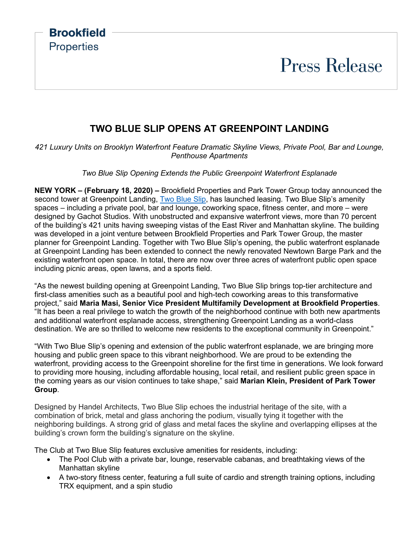**Brookfield Properties** 

## **Press Release**

### **TWO BLUE SLIP OPENS AT GREENPOINT LANDING**

*421 Luxury Units on Brooklyn Waterfront Feature Dramatic Skyline Views, Private Pool, Bar and Lounge, Penthouse Apartments*

*Two Blue Slip Opening Extends the Public Greenpoint Waterfront Esplanade*

**NEW YORK – (February 18, 2020) –** Brookfield Properties and Park Tower Group today announced the second tower at Greenpoint Landing, [Two Blue Slip,](https://twoblueslip.com/) has launched leasing. Two Blue Slip's amenity spaces – including a private pool, bar and lounge, coworking space, fitness center, and more – were designed by Gachot Studios. With unobstructed and expansive waterfront views, more than 70 percent of the building's 421 units having sweeping vistas of the East River and Manhattan skyline. The building was developed in a joint venture between Brookfield Properties and Park Tower Group, the master planner for Greenpoint Landing. Together with Two Blue Slip's opening, the public waterfront esplanade at Greenpoint Landing has been extended to connect the newly renovated Newtown Barge Park and the existing waterfront open space. In total, there are now over three acres of waterfront public open space including picnic areas, open lawns, and a sports field.

"As the newest building opening at Greenpoint Landing, Two Blue Slip brings top-tier architecture and first-class amenities such as a beautiful pool and high-tech coworking areas to this transformative project," said **Maria Masi, Senior Vice President Multifamily Development at Brookfield Properties**. "It has been a real privilege to watch the growth of the neighborhood continue with both new apartments and additional waterfront esplanade access, strengthening Greenpoint Landing as a world-class destination. We are so thrilled to welcome new residents to the exceptional community in Greenpoint."

"With Two Blue Slip's opening and extension of the public waterfront esplanade, we are bringing more housing and public green space to this vibrant neighborhood. We are proud to be extending the waterfront, providing access to the Greenpoint shoreline for the first time in generations. We look forward to providing more housing, including affordable housing, local retail, and resilient public green space in the coming years as our vision continues to take shape," said **Marian Klein, President of Park Tower Group**.

Designed by Handel Architects, Two Blue Slip echoes the industrial heritage of the site, with a combination of brick, metal and glass anchoring the podium, visually tying it together with the neighboring buildings. A strong grid of glass and metal faces the skyline and overlapping ellipses at the building's crown form the building's signature on the skyline.

The Club at Two Blue Slip features exclusive amenities for residents, including:

- The Pool Club with a private bar, lounge, reservable cabanas, and breathtaking views of the Manhattan skyline
- A two-story fitness center, featuring a full suite of cardio and strength training options, including TRX equipment, and a spin studio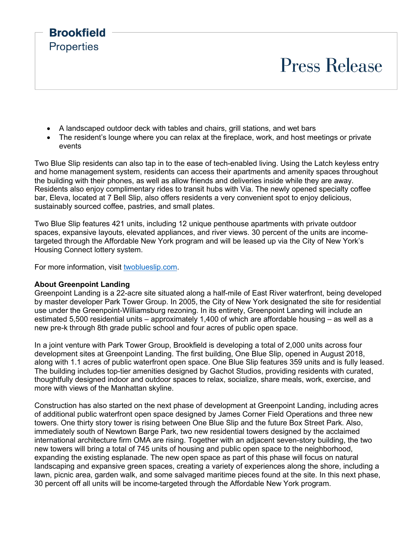

- A landscaped outdoor deck with tables and chairs, grill stations, and wet bars
- The resident's lounge where you can relax at the fireplace, work, and host meetings or private events

Two Blue Slip residents can also tap in to the ease of tech-enabled living. Using the Latch keyless entry and home management system, residents can access their apartments and amenity spaces throughout the building with their phones, as well as allow friends and deliveries inside while they are away. Residents also enjoy complimentary rides to transit hubs with Via. The newly opened specialty coffee bar, Eleva, located at 7 Bell Slip, also offers residents a very convenient spot to enjoy delicious, sustainably sourced coffee, pastries, and small plates.

Two Blue Slip features 421 units, including 12 unique penthouse apartments with private outdoor spaces, expansive layouts, elevated appliances, and river views. 30 percent of the units are incometargeted through the Affordable New York program and will be leased up via the City of New York's Housing Connect lottery system.

For more information, visit [twoblueslip.com.](https://twoblueslip.com/)

#### **About Greenpoint Landing**

Greenpoint Landing is a 22-acre site situated along a half-mile of East River waterfront, being developed by master developer Park Tower Group. In 2005, the City of New York designated the site for residential use under the Greenpoint-Williamsburg rezoning. In its entirety, Greenpoint Landing will include an estimated 5,500 residential units – approximately 1,400 of which are affordable housing – as well as a new pre-k through 8th grade public school and four acres of public open space.

In a joint venture with Park Tower Group, Brookfield is developing a total of 2,000 units across four development sites at Greenpoint Landing. The first building, One Blue Slip, opened in August 2018, along with 1.1 acres of public waterfront open space. One Blue Slip features 359 units and is fully leased. The building includes top-tier amenities designed by Gachot Studios, providing residents with curated, thoughtfully designed indoor and outdoor spaces to relax, socialize, share meals, work, exercise, and more with views of the Manhattan skyline.

Construction has also started on the next phase of development at Greenpoint Landing, including acres of additional public waterfront open space designed by James Corner Field Operations and three new towers. One thirty story tower is rising between One Blue Slip and the future Box Street Park. Also, immediately south of Newtown Barge Park, two new residential towers designed by the acclaimed international architecture firm OMA are rising. Together with an adjacent seven-story building, the two new towers will bring a total of 745 units of housing and public open space to the neighborhood, expanding the existing esplanade. The new open space as part of this phase will focus on natural landscaping and expansive green spaces, creating a variety of experiences along the shore, including a lawn, picnic area, garden walk, and some salvaged maritime pieces found at the site. In this next phase, 30 percent off all units will be income-targeted through the Affordable New York program.